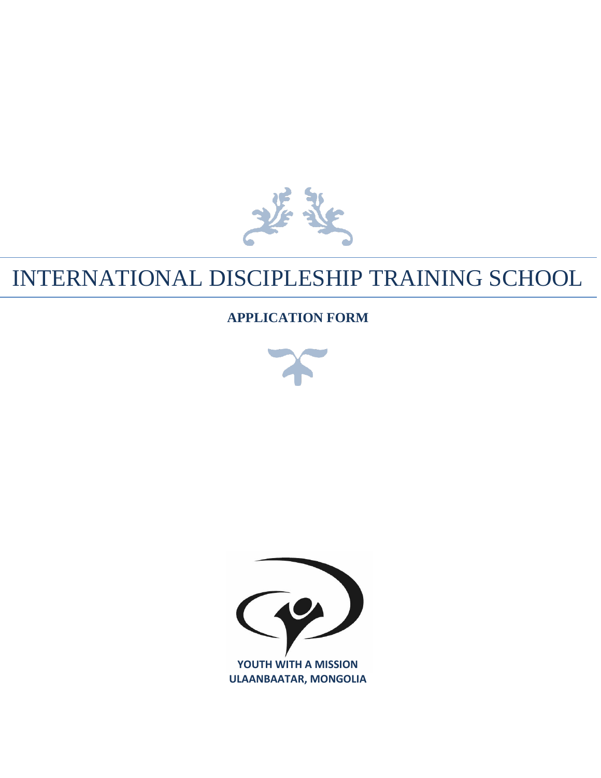

#### INTERNATIONAL DISCIPLESHIP TRAINING SCHOOL

#### **APPLICATION FORM**



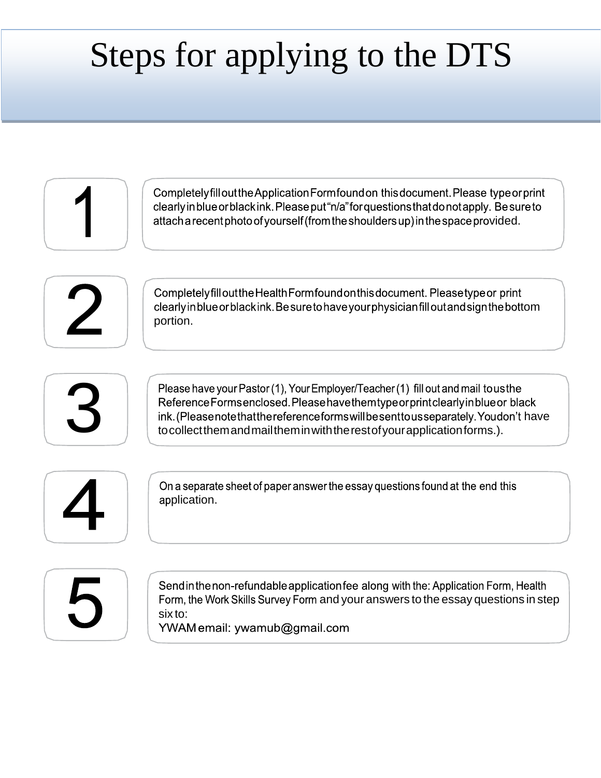# Steps for applying to the DTS

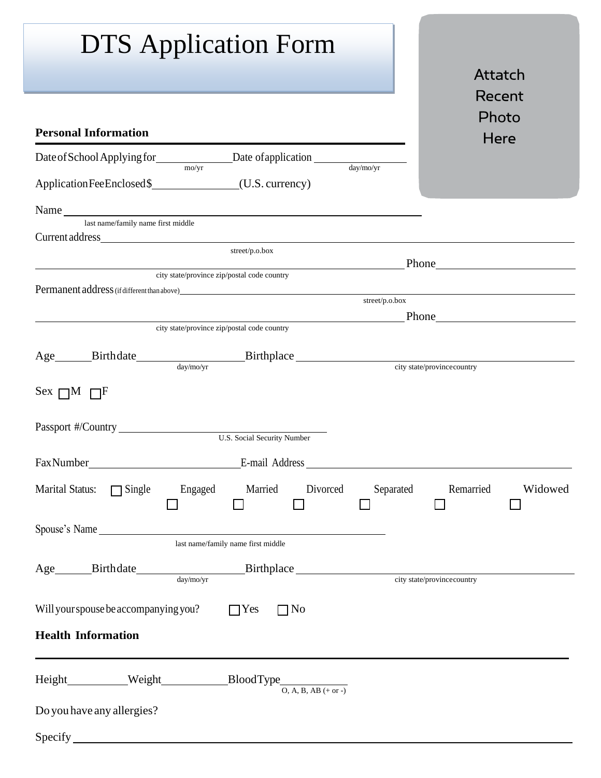| <b>DTS</b> Application Form                                                                                                                                                                                                                             | Attatch                                                                                                                                                                                                                       |
|---------------------------------------------------------------------------------------------------------------------------------------------------------------------------------------------------------------------------------------------------------|-------------------------------------------------------------------------------------------------------------------------------------------------------------------------------------------------------------------------------|
| <b>Personal Information</b>                                                                                                                                                                                                                             | Recent<br>Photo<br>Here                                                                                                                                                                                                       |
| Date of School Applying for Date of application $\frac{a_{\text{av}/\text{mo}/\text{yr}}}{a_{\text{av}/\text{mo}/\text{yr}}}$                                                                                                                           |                                                                                                                                                                                                                               |
| Name<br>last name/family name first middle                                                                                                                                                                                                              |                                                                                                                                                                                                                               |
| street/p.o.box<br><u> 1989 - Johann Barn, fransk politik fotograf (d. 1989)</u><br><u> 1980 - Johann Barn, mars ann an t-Amhain Aonaich an t-Aonaich an t-Aonaich an t-Aonaich an t-Aonaich an t-Aon</u><br>city state/province zip/postal code country | Phone Phone                                                                                                                                                                                                                   |
| Permanent address (if different than above) entries and the control of the control of the control of the control of the control of the control of the control of the control of the control of the control of the control of t<br>street/p.o.box        | Phone Phone Phone Phone Phone Phone Phone Phone Phone Phone Phone Phone Phone Phone Phone Phone Phone Phone Phone Phone Phone Phone Phone Phone Phone Phone Phone Phone Phone Phone Phone Phone Phone Phone Phone Phone Phone |
| city state/province zip/postal code country<br>Age Birthdate Birthdate Birthplace <u>Birthplace</u> <b>Example 1998 Example 1998 Example 1998 Example 1998 Example 1998 Example 1998 Example 1998 Example 1998 Example 1998 Example 1998 Example 19</b> |                                                                                                                                                                                                                               |
| Sex $\Box M$ $\Box F$                                                                                                                                                                                                                                   |                                                                                                                                                                                                                               |
|                                                                                                                                                                                                                                                         |                                                                                                                                                                                                                               |
| Fax Number<br>E-mail Address                                                                                                                                                                                                                            |                                                                                                                                                                                                                               |
| Engaged Married Divorced<br><b>Marital Status:</b><br>$\Box$ Single<br>Separated                                                                                                                                                                        | Remarried<br>Widowed                                                                                                                                                                                                          |
| Spouse's Name<br>last name/family name first middle                                                                                                                                                                                                     |                                                                                                                                                                                                                               |
|                                                                                                                                                                                                                                                         |                                                                                                                                                                                                                               |
| Will your spouse be accompanying you?<br>$\Box$ No<br>$\Box$ Yes<br><b>Health Information</b>                                                                                                                                                           |                                                                                                                                                                                                                               |
|                                                                                                                                                                                                                                                         |                                                                                                                                                                                                                               |
|                                                                                                                                                                                                                                                         |                                                                                                                                                                                                                               |
| Do you have any allergies?                                                                                                                                                                                                                              |                                                                                                                                                                                                                               |
| Specify                                                                                                                                                                                                                                                 |                                                                                                                                                                                                                               |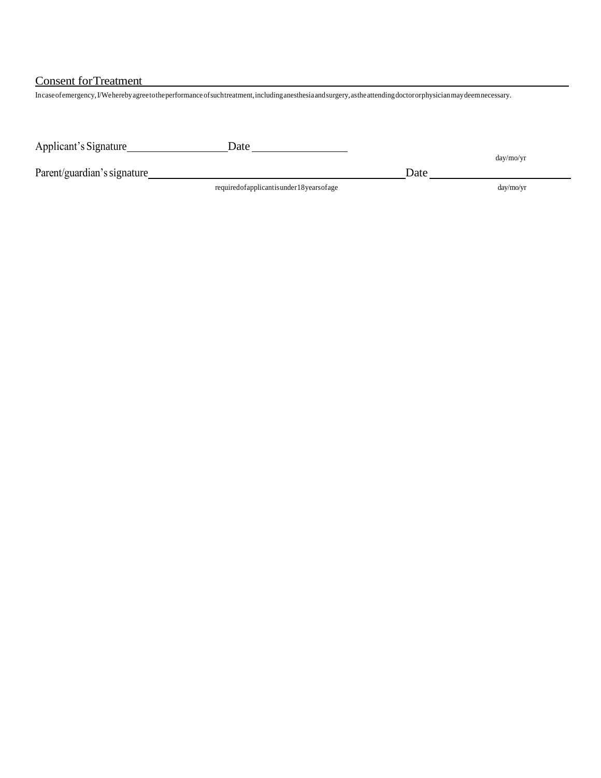Consent forTreatment

Incaseofemergency,I/Weherebyagreetotheperformanceofsuchtreatment,includinganesthesiaandsurgery,astheattendingdoctororphysicianmaydeemnecessary.

| Applicant's Signature       | Date                                           |      |            |
|-----------------------------|------------------------------------------------|------|------------|
| Parent/guardian's signature |                                                | Date | day/mol/vr |
|                             | required of applicant is under 18 years of age |      | day/mol/yr |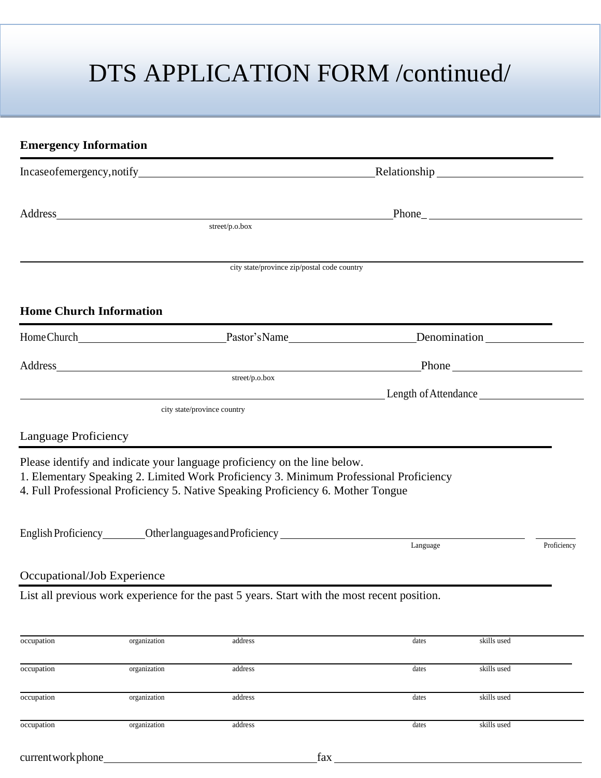# DTS APPLICATION FORM /continued/

| <b>Emergency Information</b>   |              |                                                                                                                                                                                                                                                         |          |             |             |
|--------------------------------|--------------|---------------------------------------------------------------------------------------------------------------------------------------------------------------------------------------------------------------------------------------------------------|----------|-------------|-------------|
|                                |              | Incaseofemergency, notify Relationship Relationship                                                                                                                                                                                                     |          |             |             |
|                                |              | Address_ the contract of the contract of the contract of the contract of the contract of the contract of the contract of the contract of the contract of the contract of the contract of the contract of the contract of the c<br>street/p.o.box        |          |             |             |
|                                |              |                                                                                                                                                                                                                                                         |          |             |             |
|                                |              | city state/province zip/postal code country                                                                                                                                                                                                             |          |             |             |
| <b>Home Church Information</b> |              |                                                                                                                                                                                                                                                         |          |             |             |
|                                |              |                                                                                                                                                                                                                                                         |          |             |             |
|                                |              |                                                                                                                                                                                                                                                         |          |             |             |
|                                |              | city state/province country                                                                                                                                                                                                                             |          |             |             |
| Language Proficiency           |              |                                                                                                                                                                                                                                                         |          |             |             |
|                                |              | Please identify and indicate your language proficiency on the line below.<br>1. Elementary Speaking 2. Limited Work Proficiency 3. Minimum Professional Proficiency<br>4. Full Professional Proficiency 5. Native Speaking Proficiency 6. Mother Tongue |          |             |             |
|                                |              | English Proficiency Other languages and Proficiency National Section 2014                                                                                                                                                                               | Language |             | Proficiency |
| Occupational/Job Experience    |              |                                                                                                                                                                                                                                                         |          |             |             |
|                                |              | List all previous work experience for the past 5 years. Start with the most recent position.                                                                                                                                                            |          |             |             |
| occupation                     | organization | address                                                                                                                                                                                                                                                 | dates    | skills used |             |
| occupation                     | organization | address                                                                                                                                                                                                                                                 | dates    | skills used |             |
| occupation                     | organization | address                                                                                                                                                                                                                                                 | dates    | skills used |             |
| occupation                     | organization | address                                                                                                                                                                                                                                                 | dates    | skills used |             |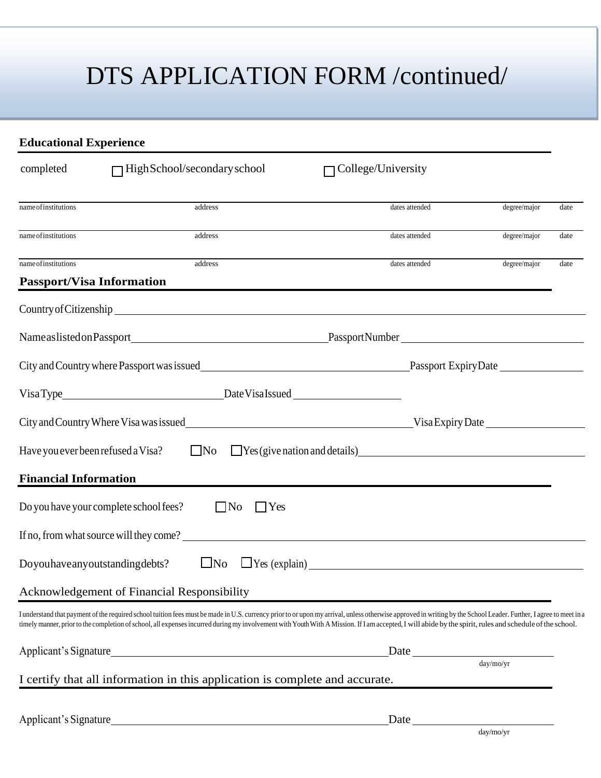# DTS APPLICATION FORM /continued/

| <b>Educational Experience</b> |                                                                                                                                                                                                                                                                                                                                                                                                                               |                                                      |              |      |
|-------------------------------|-------------------------------------------------------------------------------------------------------------------------------------------------------------------------------------------------------------------------------------------------------------------------------------------------------------------------------------------------------------------------------------------------------------------------------|------------------------------------------------------|--------------|------|
| completed                     | $\Box$ HighSchool/secondary school                                                                                                                                                                                                                                                                                                                                                                                            | College/University                                   |              |      |
| name of institutions          | address                                                                                                                                                                                                                                                                                                                                                                                                                       | dates attended                                       | degree/major | date |
| name of institutions          | address                                                                                                                                                                                                                                                                                                                                                                                                                       | dates attended                                       | degree/major | date |
| nameofinstitutions            | address                                                                                                                                                                                                                                                                                                                                                                                                                       | dates attended                                       | degree/major | date |
|                               | <b>Passport/Visa Information</b>                                                                                                                                                                                                                                                                                                                                                                                              |                                                      |              |      |
|                               | Country of Citizenship Country of Citizenship                                                                                                                                                                                                                                                                                                                                                                                 |                                                      |              |      |
|                               |                                                                                                                                                                                                                                                                                                                                                                                                                               |                                                      |              |      |
|                               | City and Country where Passport was issued<br>This passport Expiry Date                                                                                                                                                                                                                                                                                                                                                       |                                                      |              |      |
|                               |                                                                                                                                                                                                                                                                                                                                                                                                                               |                                                      |              |      |
|                               | City and Country Where Visa was issued<br>Use Bayers New York Country Of the Country Of the Country of the Country of the Country of the Country Of the Country of the Country of the Country of the Country of the Country of t                                                                                                                                                                                              |                                                      |              |      |
|                               | Have you ever been refused a Visa?                                                                                                                                                                                                                                                                                                                                                                                            | $No$ $Nes$ (give nation and details)                 |              |      |
| <b>Financial Information</b>  |                                                                                                                                                                                                                                                                                                                                                                                                                               |                                                      |              |      |
|                               | Do you have your complete school fees?<br>$\Box$ No<br>$\Box$ Yes                                                                                                                                                                                                                                                                                                                                                             |                                                      |              |      |
|                               | If no, from what source will they come?                                                                                                                                                                                                                                                                                                                                                                                       |                                                      |              |      |
|                               | Doyouhaveanyoutstandingdebts?<br>$\Box$ No                                                                                                                                                                                                                                                                                                                                                                                    |                                                      |              |      |
|                               | Acknowledgement of Financial Responsibility                                                                                                                                                                                                                                                                                                                                                                                   |                                                      |              |      |
|                               | I understand that payment of the required school tuition fees must be made in U.S. currency prior to or upon my arrival, unless otherwise approved in writing by the School Leader. Further, I agree to meet in a<br>timely manner, prior to the completion of school, all expenses incurred during my involvement with Youth With A Mission. If I am accepted, I will abide by the spirit, rules and schedule of the school. |                                                      |              |      |
|                               |                                                                                                                                                                                                                                                                                                                                                                                                                               | Date                                                 |              |      |
|                               | I certify that all information in this application is complete and accurate.                                                                                                                                                                                                                                                                                                                                                  |                                                      | day/mo/yr    |      |
|                               |                                                                                                                                                                                                                                                                                                                                                                                                                               |                                                      |              |      |
|                               |                                                                                                                                                                                                                                                                                                                                                                                                                               | $\frac{\text{Date}}{\text{day}/\text{mo}/\text{yr}}$ |              |      |
|                               |                                                                                                                                                                                                                                                                                                                                                                                                                               |                                                      |              |      |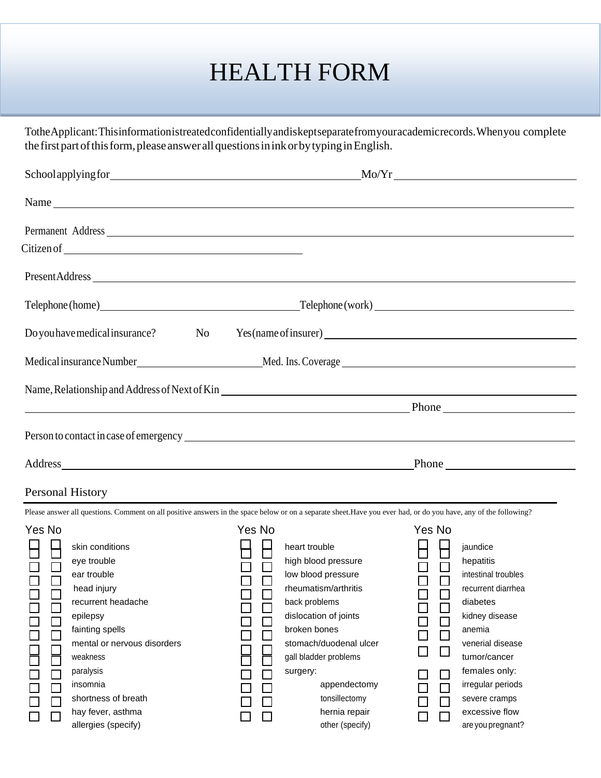### HEALTH FORM

TotheApplicant:Thisinformationistreatedconfidentiallyandiskeptseparatefromyouracademicrecords.Whenyou complete the first part of this form, please answer all questions in ink or by typing in English.

|                                                                                                                                                                                                         | Name                                                                                                                                                                                                                                                                      |                                                                                                                                                                                                                                                                                                   |
|---------------------------------------------------------------------------------------------------------------------------------------------------------------------------------------------------------|---------------------------------------------------------------------------------------------------------------------------------------------------------------------------------------------------------------------------------------------------------------------------|---------------------------------------------------------------------------------------------------------------------------------------------------------------------------------------------------------------------------------------------------------------------------------------------------|
|                                                                                                                                                                                                         | Permanent Address                                                                                                                                                                                                                                                         |                                                                                                                                                                                                                                                                                                   |
|                                                                                                                                                                                                         |                                                                                                                                                                                                                                                                           |                                                                                                                                                                                                                                                                                                   |
|                                                                                                                                                                                                         |                                                                                                                                                                                                                                                                           |                                                                                                                                                                                                                                                                                                   |
|                                                                                                                                                                                                         |                                                                                                                                                                                                                                                                           |                                                                                                                                                                                                                                                                                                   |
|                                                                                                                                                                                                         | Do you have medical insurance? No Yes (name of insurer) No Yes (name of insurer)                                                                                                                                                                                          |                                                                                                                                                                                                                                                                                                   |
|                                                                                                                                                                                                         |                                                                                                                                                                                                                                                                           |                                                                                                                                                                                                                                                                                                   |
|                                                                                                                                                                                                         | Name, Relationship and Address of Next of Kin                                                                                                                                                                                                                             |                                                                                                                                                                                                                                                                                                   |
|                                                                                                                                                                                                         | Phone Phone Phone Phone Phone Phone Phone Phone Phone Phone Phone 2014                                                                                                                                                                                                    |                                                                                                                                                                                                                                                                                                   |
| <b>Personal History</b>                                                                                                                                                                                 |                                                                                                                                                                                                                                                                           |                                                                                                                                                                                                                                                                                                   |
|                                                                                                                                                                                                         | Please answer all questions. Comment on all positive answers in the space below or on a separate sheet. Have you ever had, or do you have, any of the following?                                                                                                          |                                                                                                                                                                                                                                                                                                   |
| Yes No<br>skin conditions<br>DOOD<br>eye trouble<br>ear trouble<br>head injury<br>recurrent headache<br>epilepsy<br>fainting spells<br>mental or nervous disorders<br>weakness<br>paralysis<br>insomnia | Yes No<br>日日<br>heart trouble<br>high blood pressure<br>0<br>0<br>0<br>0<br>low blood pressure<br>rheumatism/arthritis<br>back problems<br>$\Box$<br>dislocation of joints<br>broken bones<br>stomach/duodenal ulcer<br>gall bladder problems<br>surgery:<br>appendectomy | Yes No<br>jaundice<br>$\Box$<br>hepatitis<br>$\begin{array}{c} \square \\ \square \end{array}$<br>intestinal troubles<br>recurrent diarrhea<br>diabetes<br>$\Box$<br>kidney disease<br>anemia<br>venerial disease<br>tumor/cancer<br>females only:<br>$\mathsf{I}$<br>irregular periods<br>$\Box$ |
| shortness of breath<br>hay fever, asthma                                                                                                                                                                | tonsillectomy<br>hernia repair                                                                                                                                                                                                                                            | severe cramps<br>excessive flow                                                                                                                                                                                                                                                                   |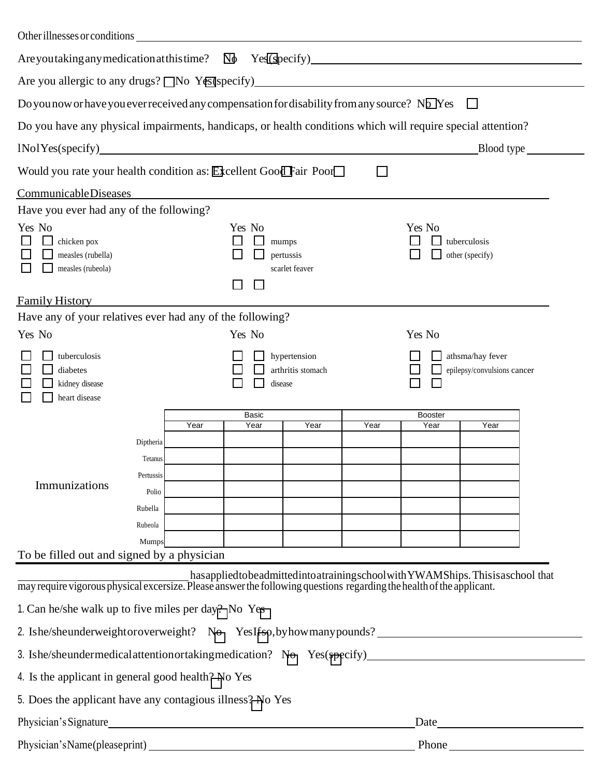| Other illnesses or conditions                                                                                         |                                                                           |      |               |                                      |              |                 |                                                                                                      |
|-----------------------------------------------------------------------------------------------------------------------|---------------------------------------------------------------------------|------|---------------|--------------------------------------|--------------|-----------------|------------------------------------------------------------------------------------------------------|
| Are you taking any medication at this time? $\Box \Phi$                                                               |                                                                           |      |               |                                      |              |                 |                                                                                                      |
| Are you allergic to any drugs? $\Box$ No Yes (specify)                                                                |                                                                           |      |               |                                      |              |                 |                                                                                                      |
| Do you now or have you ever received any compensation for disability from any source? No Yes                          |                                                                           |      |               |                                      |              |                 |                                                                                                      |
| Do you have any physical impairments, handicaps, or health conditions which will require special attention?           |                                                                           |      |               |                                      |              |                 |                                                                                                      |
|                                                                                                                       |                                                                           |      |               |                                      |              |                 | Blood type                                                                                           |
| Would you rate your health condition as: Excellent Good Fair Poor                                                     |                                                                           |      |               |                                      | $\mathbf{I}$ |                 |                                                                                                      |
| CommunicableDiseases                                                                                                  |                                                                           |      |               |                                      |              |                 |                                                                                                      |
| Have you ever had any of the following?                                                                               |                                                                           |      |               |                                      |              |                 |                                                                                                      |
| Yes No<br>chicken pox<br>measles (rubella)<br>measles (rubeola)                                                       |                                                                           |      | Yes No        | mumps<br>pertussis<br>scarlet feaver |              | Yes No          | tuberculosis<br>other (specify)                                                                      |
| <b>Family History</b>                                                                                                 |                                                                           |      |               |                                      |              |                 |                                                                                                      |
| Have any of your relatives ever had any of the following?                                                             |                                                                           |      |               |                                      |              |                 |                                                                                                      |
| Yes No                                                                                                                |                                                                           |      | Yes No        |                                      |              | Yes No          |                                                                                                      |
| tuberculosis<br>diabetes<br>kidney disease<br>heart disease                                                           |                                                                           |      | disease       | hypertension<br>arthritis stomach    |              |                 | athsma/hay fever<br>epilepsy/convulsions cancer                                                      |
|                                                                                                                       |                                                                           | Year | Basic<br>Year | Year                                 | Year         | Booster<br>Year | Year                                                                                                 |
| Immunizations                                                                                                         | Diptheria<br>Tetanus<br>Pertussis<br>Polio<br>Rubella<br>Rubeola<br>Mumps |      |               |                                      |              |                 |                                                                                                      |
| To be filled out and signed by a physician                                                                            |                                                                           |      |               |                                      |              |                 |                                                                                                      |
|                                                                                                                       |                                                                           |      |               |                                      |              |                 | has applied to be admitted into a training school with YWAMShips. This is a school that              |
| may require vigorous physical excersize. Please answer the following questions regarding the health of the applicant. |                                                                           |      |               |                                      |              |                 |                                                                                                      |
| 1. Can he/she walk up to five miles per day? No Yes                                                                   |                                                                           |      |               |                                      |              |                 |                                                                                                      |
| 2. Ishe/sheunderweightoroverweight? No YesIfsp, by how many pounds?                                                   |                                                                           |      |               |                                      |              |                 |                                                                                                      |
|                                                                                                                       |                                                                           |      |               |                                      |              |                 | 3. Ishe/sheundermedicalattentionortaking medication? No Yes(specify)________________________________ |
| 4. Is the applicant in general good health? No Yes                                                                    |                                                                           |      |               |                                      |              |                 |                                                                                                      |
| 5. Does the applicant have any contagious illness? No Yes                                                             |                                                                           |      |               |                                      |              |                 |                                                                                                      |
| Physician's Signature                                                                                                 |                                                                           |      |               |                                      |              |                 | Date <u>Date</u>                                                                                     |
|                                                                                                                       |                                                                           |      |               |                                      |              |                 | Phone                                                                                                |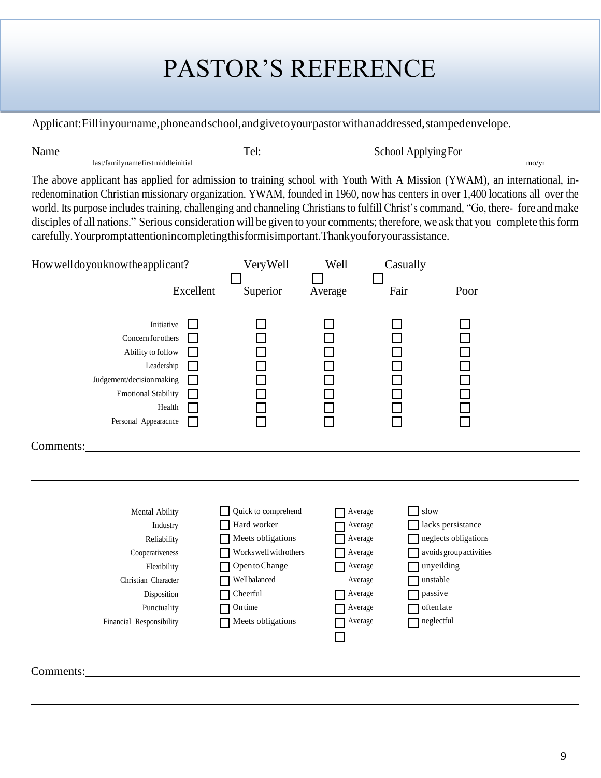# PASTOR'S REFERENCE

Applicant:Fillinyourname,phoneandschool,andgivetoyourpastorwithanaddressed,stampedenvelope.

| N<br>$\sim$ $\sim$ $\sim$                   |            | и<br>ำเ<br>$\sim$ |      |
|---------------------------------------------|------------|-------------------|------|
| last <sup>-</sup><br>. ramilyname<br>st mıd | 'dle1n1t1. | $\sim$ $\sim$     | mo/y |

The above applicant has applied for admission to training school with Youth With A Mission (YWAM), an international, inredenomination Christian missionary organization. YWAM, founded in 1960, now has centers in over 1,400 locations all over the world. Its purpose includes training, challenging and channeling Christians to fulfill Christ's command, "Go, there- fore andmake disciples of all nations." Serious consideration will be given to your comments; therefore, we ask that you complete this form carefully.Yourpromptattentionincompletingthisformisimportant.Thankyouforyourassistance.

| How well do you know the applicant?                                                                                                                              | Excellent |                                                                                                                                                              | Well<br>Average                                                                                 | Casually<br>Fair                                                      | Poor                                                                 |
|------------------------------------------------------------------------------------------------------------------------------------------------------------------|-----------|--------------------------------------------------------------------------------------------------------------------------------------------------------------|-------------------------------------------------------------------------------------------------|-----------------------------------------------------------------------|----------------------------------------------------------------------|
| Initiative<br>Concern for others<br>Ability to follow<br>Leadership<br>Judgement/decision making<br><b>Emotional Stability</b><br>Health<br>Personal Appearacnce |           | Superior<br>00000                                                                                                                                            | 0000i<br>$\Box$                                                                                 | <b>DODDD</b><br>$\Box$                                                | U 0 0 0 0<br>0 0 0 0 0<br>П                                          |
| Comments:                                                                                                                                                        |           |                                                                                                                                                              |                                                                                                 |                                                                       |                                                                      |
| Mental Ability<br>Industry<br>Reliability<br>Cooperativeness<br>Flexibility<br>Christian Character<br>Disposition<br>Punctuality<br>Financial Responsibility     |           | Quick to comprehend<br>Hard worker<br>Meets obligations<br>Workswellwithothers<br>Open to Change<br>Wellbalanced<br>Cheerful<br>On time<br>Meets obligations | Average<br>Average<br>Average<br>Average<br>Average<br>Average<br>Average<br>Average<br>Average | slow<br>unyeilding<br>unstable<br>passive<br>often late<br>neglectful | lacks persistance<br>neglects obligations<br>avoids group activities |

Comments: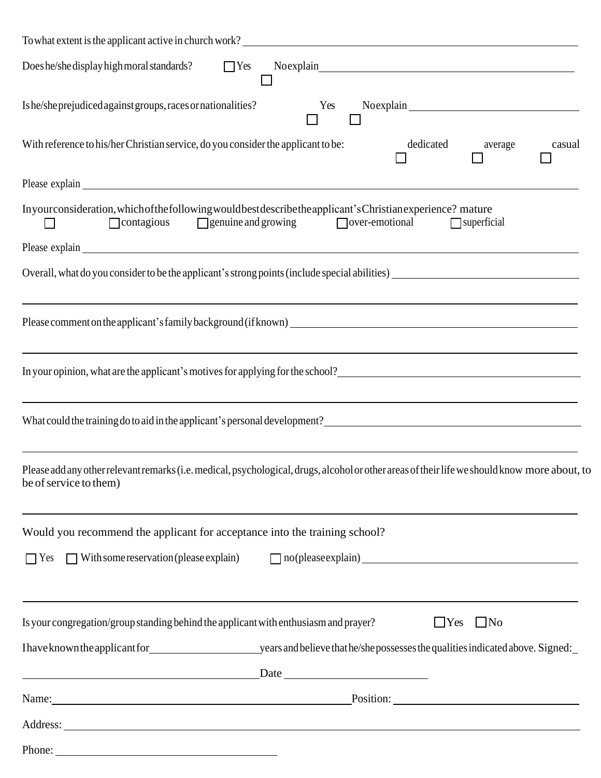| To what extent is the applicant active in church work?                                                                                                                                                                                                                                                                 |
|------------------------------------------------------------------------------------------------------------------------------------------------------------------------------------------------------------------------------------------------------------------------------------------------------------------------|
| Does he/she display high moral standards? $\Box$ Yes                                                                                                                                                                                                                                                                   |
| Is he/she prejudiced against groups, races or nationalities?<br>Yes                                                                                                                                                                                                                                                    |
| With reference to his/her Christian service, do you consider the applicant to be:<br>dedicated average<br>casual                                                                                                                                                                                                       |
| Please explain explain explainter and the set of the set of the set of the set of the set of the set of the set of the set of the set of the set of the set of the set of the set of the set of the set of the set of the set                                                                                          |
| Inyourconsideration, which of the following would best describe the applicant's Christian experience? mature<br>$\Box$ contagious $\Box$ genuine and growing $\Box$ over-emotional<br>$\Box$ superficial<br>$\mathbf{1}$                                                                                               |
|                                                                                                                                                                                                                                                                                                                        |
|                                                                                                                                                                                                                                                                                                                        |
| ,我们也不会有什么。""我们的人,我们也不会有什么?""我们的人,我们也不会有什么?""我们的人,我们也不会有什么?""我们的人,我们也不会有什么?""我们的人                                                                                                                                                                                                                                       |
| <u> 1989 - Andrea Santa Alemania, amerikana amerikana amerikana amerikana amerikana amerikana amerikana amerikan</u><br>In your opinion, what are the applicant's motives for applying for the school?<br><u>Lettican and the school</u>                                                                               |
| ,我们也不会有什么。""我们的人,我们也不会有什么?""我们的人,我们也不会有什么?""我们的人,我们也不会有什么?""我们的人,我们也不会有什么?""我们的人<br>What could the training do to aid in the applicant's personal development?<br>1. The could the training do to aid in the applicant's personal development?<br>1. The could the training do to aid in the applicant's personal deve |
| Please add any other relevant remarks (i.e. medical, psychological, drugs, alcohol or other areas of their life we should know more about, to<br>be of service to them)                                                                                                                                                |
| <u> 1989 - Johann Stoff, deutscher Stoff, der Stoff, der Stoff, der Stoff, der Stoff, der Stoff, der Stoff, der S</u><br>Would you recommend the applicant for acceptance into the training school?                                                                                                                    |
| □ Yes □ With some reservation (please explain) □ no (please explain)                                                                                                                                                                                                                                                   |
| ,我们也不会有什么。""我们的人,我们也不会有什么?""我们的人,我们也不会有什么?""我们的人,我们也不会有什么?""我们的人,我们也不会有什么?""我们的人<br>Is your congregation/group standing behind the applicant with enthusiasm and prayer?<br>$\Box$ Yes $\Box$ No                                                                                                                       |
| Ihave known the applicant for years and believe that he/she possesses the qualities indicated above. Signed:                                                                                                                                                                                                           |
|                                                                                                                                                                                                                                                                                                                        |
| Name: Position: Position:                                                                                                                                                                                                                                                                                              |
|                                                                                                                                                                                                                                                                                                                        |
|                                                                                                                                                                                                                                                                                                                        |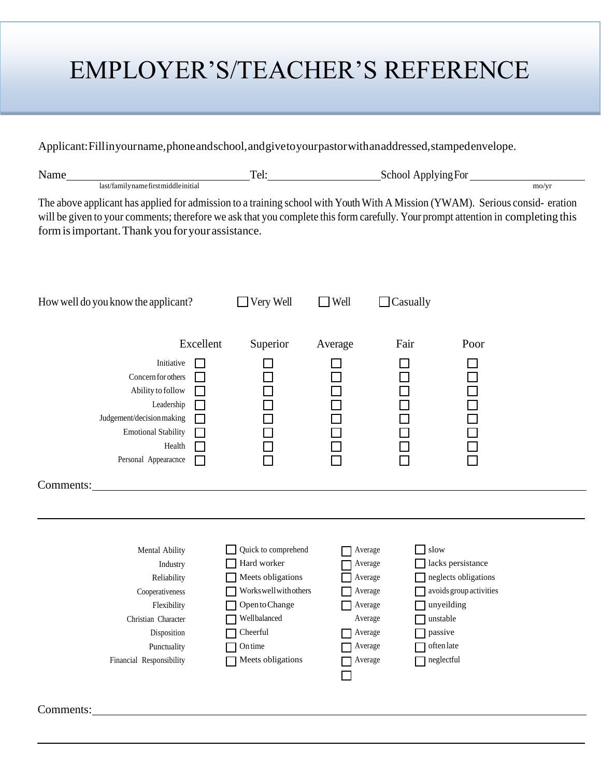## EMPLOYER'S/TEACHER'S REFERENCE

Applicant:Fillinyourname,phoneandschool,andgivetoyourpastorwithanaddressed,stampedenvelope.

| last/familynamefirstmiddleinitial<br>The above applicant has applied for admission to a training school with Youth With A Mission (YWAM). Serious consid-eration<br>will be given to your comments; therefore we ask that you complete this form carefully. Your prompt attention in completing this<br>form is important. Thank you for your assistance.<br>$\Box$ Very Well<br>$\Box$ Casually<br>How well do you know the applicant?<br>$\Box$ Well<br>Excellent<br>Superior<br>Fair<br>Poor<br>Average<br>Initiative<br>Concern for others<br>200000<br>200000<br>Ability to follow<br>Leadership<br>Judgement/decision making<br><b>Emotional Stability</b><br>Health<br>Personal Appearacnce<br>Comments:<br>Quick to comprehend<br>slow<br>Mental Ability<br>Average<br>Hard worker<br>Average<br>lacks persistance<br>Industry<br>Meets obligations<br>Average<br>neglects obligations<br>Reliability<br>Workswell with others<br>avoids group activities<br>Cooperativeness<br>Average<br>Open to Change<br>Average<br>$\Box$ unyeilding<br>Flexibility<br>Wellbalanced<br>Christian Character<br>unstable<br>Average<br>Cheerful<br>passive<br>Disposition<br>Average<br>$\!$ often late<br>On time<br>Punctuality<br>Average<br>Meets obligations<br>neglectful<br>Financial Responsibility<br>Average | Name_     | Tel: |  | School Applying For |                |  |  |  |
|-------------------------------------------------------------------------------------------------------------------------------------------------------------------------------------------------------------------------------------------------------------------------------------------------------------------------------------------------------------------------------------------------------------------------------------------------------------------------------------------------------------------------------------------------------------------------------------------------------------------------------------------------------------------------------------------------------------------------------------------------------------------------------------------------------------------------------------------------------------------------------------------------------------------------------------------------------------------------------------------------------------------------------------------------------------------------------------------------------------------------------------------------------------------------------------------------------------------------------------------------------------------------------------------------------------------|-----------|------|--|---------------------|----------------|--|--|--|
|                                                                                                                                                                                                                                                                                                                                                                                                                                                                                                                                                                                                                                                                                                                                                                                                                                                                                                                                                                                                                                                                                                                                                                                                                                                                                                                   |           |      |  |                     | $\text{mo/yr}$ |  |  |  |
|                                                                                                                                                                                                                                                                                                                                                                                                                                                                                                                                                                                                                                                                                                                                                                                                                                                                                                                                                                                                                                                                                                                                                                                                                                                                                                                   |           |      |  |                     |                |  |  |  |
|                                                                                                                                                                                                                                                                                                                                                                                                                                                                                                                                                                                                                                                                                                                                                                                                                                                                                                                                                                                                                                                                                                                                                                                                                                                                                                                   |           |      |  |                     |                |  |  |  |
|                                                                                                                                                                                                                                                                                                                                                                                                                                                                                                                                                                                                                                                                                                                                                                                                                                                                                                                                                                                                                                                                                                                                                                                                                                                                                                                   |           |      |  |                     |                |  |  |  |
|                                                                                                                                                                                                                                                                                                                                                                                                                                                                                                                                                                                                                                                                                                                                                                                                                                                                                                                                                                                                                                                                                                                                                                                                                                                                                                                   |           |      |  |                     |                |  |  |  |
|                                                                                                                                                                                                                                                                                                                                                                                                                                                                                                                                                                                                                                                                                                                                                                                                                                                                                                                                                                                                                                                                                                                                                                                                                                                                                                                   |           |      |  |                     |                |  |  |  |
|                                                                                                                                                                                                                                                                                                                                                                                                                                                                                                                                                                                                                                                                                                                                                                                                                                                                                                                                                                                                                                                                                                                                                                                                                                                                                                                   | Comments: |      |  |                     |                |  |  |  |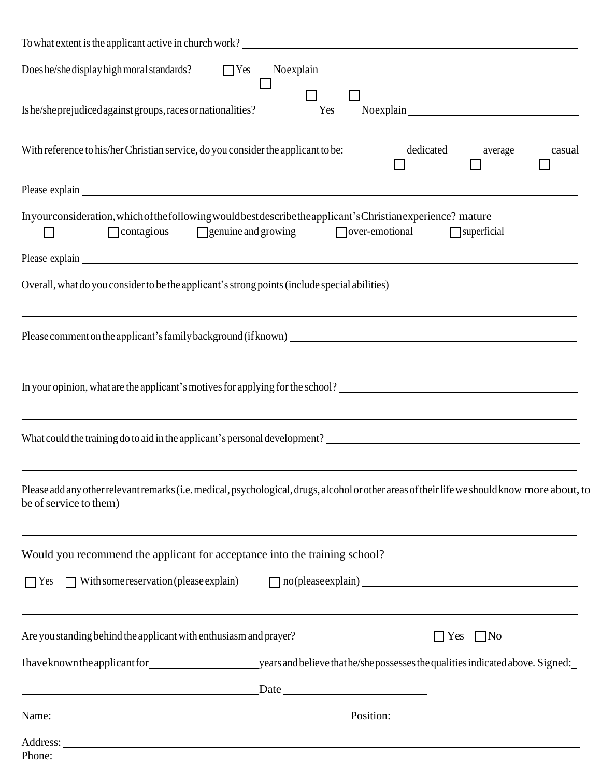| To what extent is the applicant active in church work?                                                                                                                                                                        |
|-------------------------------------------------------------------------------------------------------------------------------------------------------------------------------------------------------------------------------|
| Does he/she display high moral standards?<br>$\Box$ Yes                                                                                                                                                                       |
| Is he/sheprejudiced against groups, races or nationalities?<br>Yes                                                                                                                                                            |
| With reference to his/her Christian service, do you consider the applicant to be:<br>dedicated<br>casual<br>average                                                                                                           |
|                                                                                                                                                                                                                               |
| Inyourconsideration, which of the following would best describe the applicant's Christian experience? mature<br>over-emotional<br>$\Box$ genuine and growing<br>$\Box$ contagious<br>$\Box$ superficial                       |
| Please explain explain explainter and the set of the set of the set of the set of the set of the set of the set of the set of the set of the set of the set of the set of the set of the set of the set of the set of the set |
|                                                                                                                                                                                                                               |
|                                                                                                                                                                                                                               |
| ,我们也不会有什么。""我们的人,我们也不会有什么?""我们的人,我们也不会有什么?""我们的人,我们也不会有什么?""我们的人,我们也不会有什么?""我们的人<br>In your opinion, what are the applicant's motives for applying for the school?<br><u>Letting the school</u>                               |
|                                                                                                                                                                                                                               |
| Please add any other relevant remarks (i.e. medical, psychological, drugs, alcohol or other areas of their life we should know more about, to<br>be of service to them)                                                       |
| Would you recommend the applicant for acceptance into the training school?                                                                                                                                                    |
| $\Box$ Yes $\Box$ With some reservation (please explain)<br>no(please explain)<br><u>nother assemnts</u>                                                                                                                      |
| ,我们也不会有什么。""我们的人,我们也不会有什么?""我们的人,我们也不会有什么?""我们的人,我们也不会有什么?""我们的人,我们也不会有什么?""我们的人<br>Are you standing behind the applicant with enthusiasm and prayer?<br>$\Box$ Yes $\Box$ No                                                 |
|                                                                                                                                                                                                                               |
| Date                                                                                                                                                                                                                          |
| Name: Position: Position:                                                                                                                                                                                                     |
|                                                                                                                                                                                                                               |
| Phone:                                                                                                                                                                                                                        |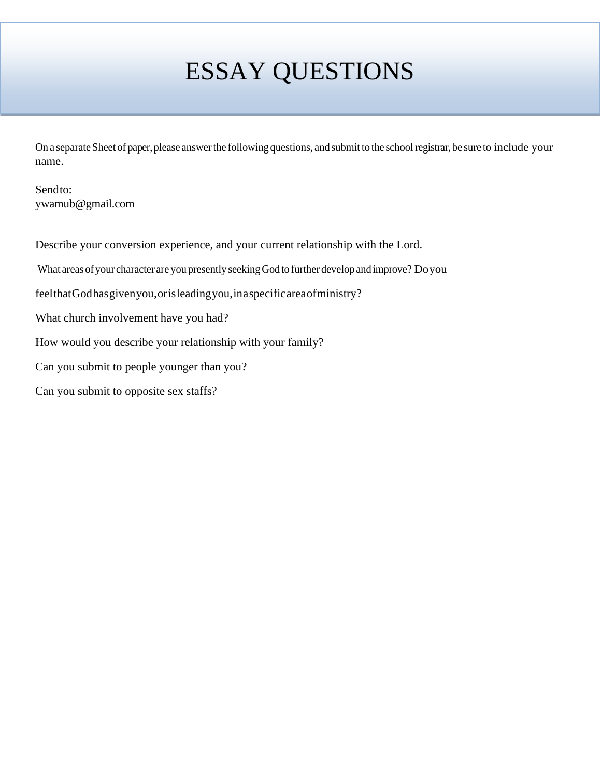# ESSAY QUESTIONS

On a separate Sheet of paper,please answerthe following questions, and submit to the schoolregistrar, be sure to include your name.

Sendto: ywamub@gmail.com

Describe your conversion experience, and your current relationship with the Lord.

What areas ofyour character are you presently seekingGod to further develop and improve? Doyou

feelthatGodhasgivenyou,orisleadingyou,inaspecificareaofministry?

What church involvement have you had?

How would you describe your relationship with your family?

Can you submit to people younger than you?

Can you submit to opposite sex staffs?